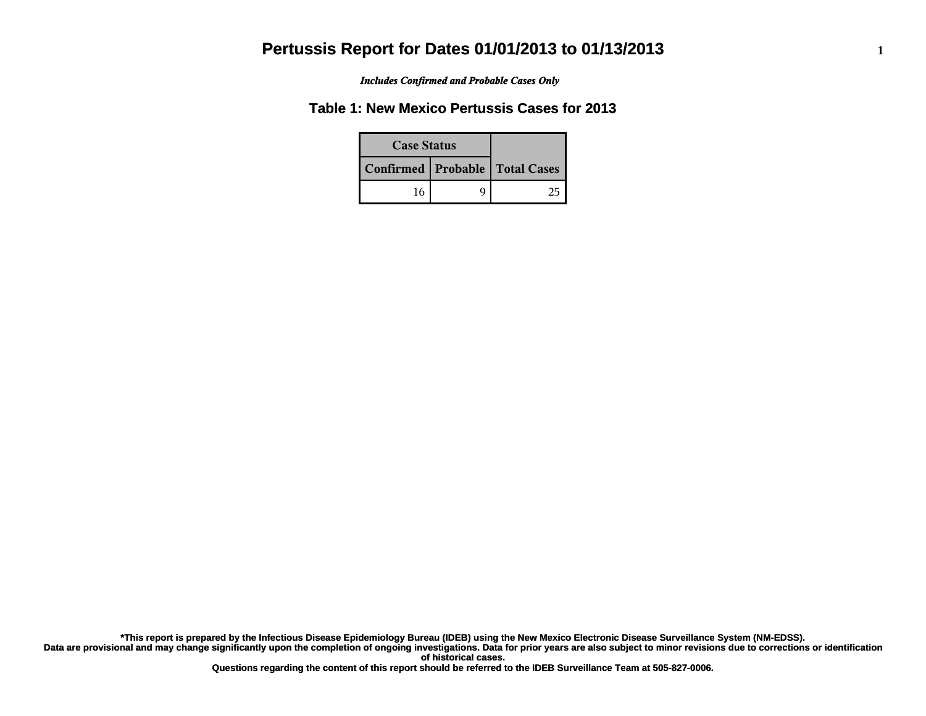*Includes Confirmed and Probable Cases Only*

#### **Table 1: New Mexico Pertussis Cases for 2013**

| <b>Case Status</b> |  |                                    |
|--------------------|--|------------------------------------|
|                    |  | Confirmed   Probable   Total Cases |
| 16                 |  |                                    |

**Data are provisional and may change significantly upon the completion of ongoing investigations. Data for prior years are also subject to minor revisions due to corrections or identification of historical cases. \*This report is prepared by the Infectious Disease Epidemiology Bureau (IDEB) using the New Mexico Electronic Disease Surveillance System (NM-EDSS).**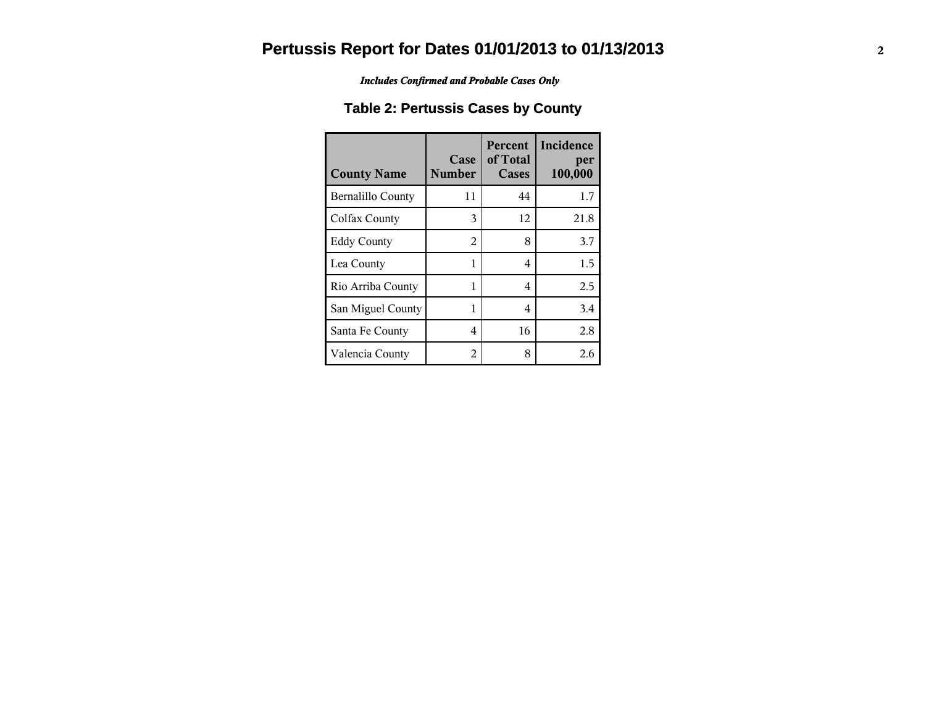*Includes Confirmed and Probable Cases Only*

### **Table 2: Pertussis Cases by County**

| <b>County Name</b>       | Case<br><b>Number</b> | <b>Percent</b><br>of Total<br>Cases | Incidence<br>per<br>100,000 |
|--------------------------|-----------------------|-------------------------------------|-----------------------------|
| <b>Bernalillo County</b> | 11                    | 44                                  | 1.7                         |
| Colfax County            | 3                     | 12                                  | 21.8                        |
| <b>Eddy County</b>       | 2                     | 8                                   | 3.7                         |
| Lea County               | 1                     | 4                                   | 1.5                         |
| Rio Arriba County        | 1                     | 4                                   | 2.5                         |
| San Miguel County        | 1                     | 4                                   | 3.4                         |
| Santa Fe County          | 4                     | 16                                  | 2.8                         |
| Valencia County          | 2                     | 8                                   | 2.6                         |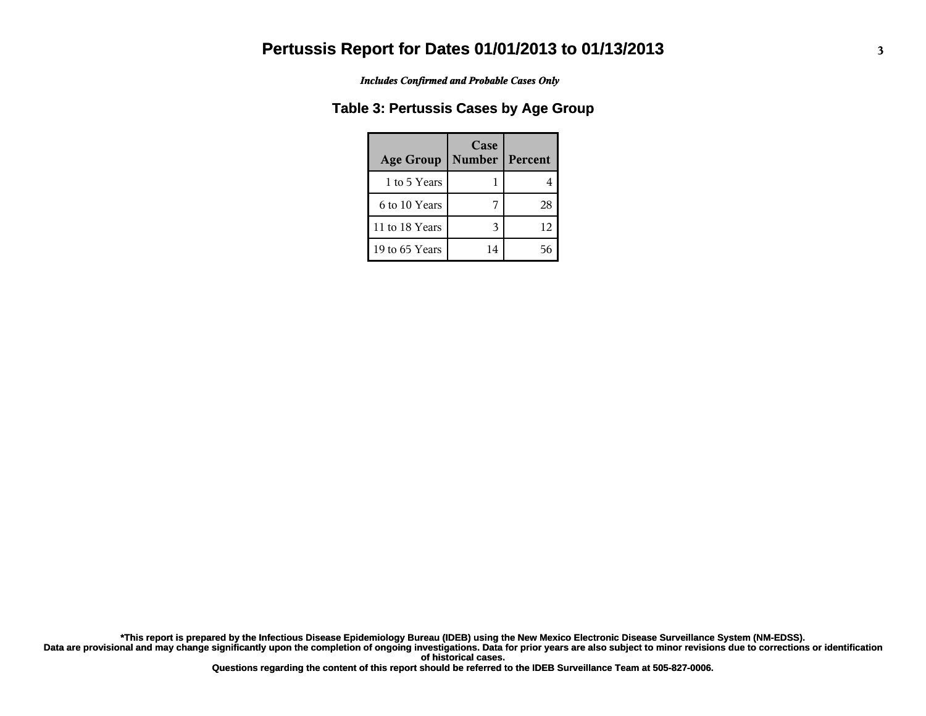*Includes Confirmed and Probable Cases Only*

#### **Table 3: Pertussis Cases by Age Group**

| <b>Age Group</b> | Case<br><b>Number</b> | Percent |
|------------------|-----------------------|---------|
| 1 to 5 Years     |                       |         |
| 6 to 10 Years    |                       | 28      |
| 11 to 18 Years   |                       | 12      |
| 19 to 65 Years   | 14                    |         |

**Data are provisional and may change significantly upon the completion of ongoing investigations. Data for prior years are also subject to minor revisions due to corrections or identification \*This report is prepared by the Infectious Disease Epidemiology Bureau (IDEB) using the New Mexico Electronic Disease Surveillance System (NM-EDSS).**

**of historical cases.**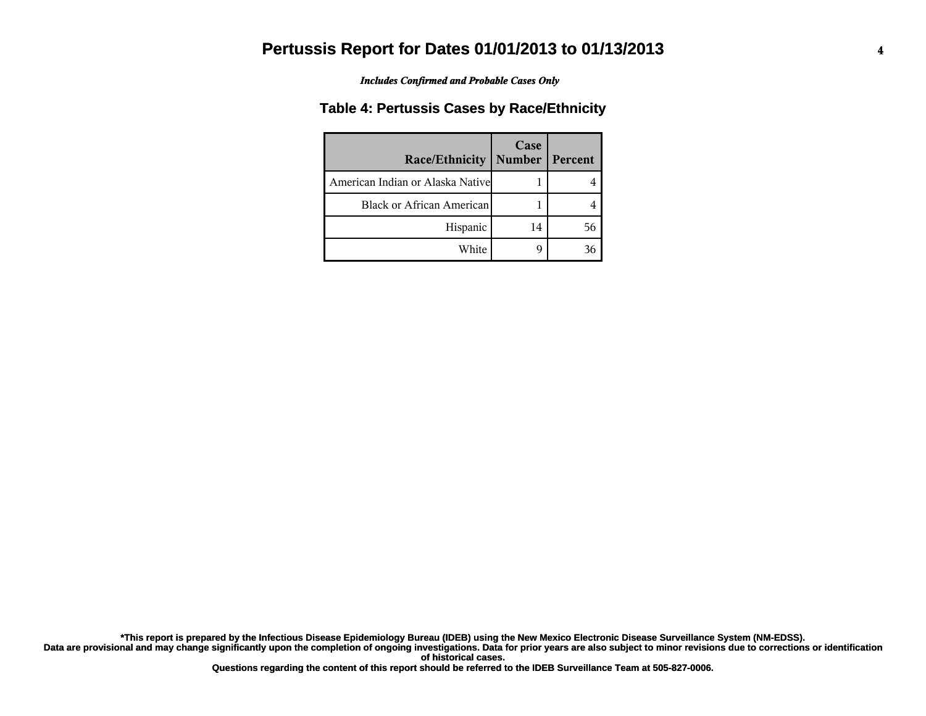*Includes Confirmed and Probable Cases Only*

#### **Table 4: Pertussis Cases by Race/Ethnicity**

| <b>Race/Ethnicity</b>            | Case<br><b>Number   Percent</b> |  |
|----------------------------------|---------------------------------|--|
| American Indian or Alaska Native |                                 |  |
| <b>Black or African American</b> |                                 |  |
| Hispanic                         | 14                              |  |
| White                            |                                 |  |

**Data are provisional and may change significantly upon the completion of ongoing investigations. Data for prior years are also subject to minor revisions due to corrections or identification of historical cases. \*This report is prepared by the Infectious Disease Epidemiology Bureau (IDEB) using the New Mexico Electronic Disease Surveillance System (NM-EDSS).**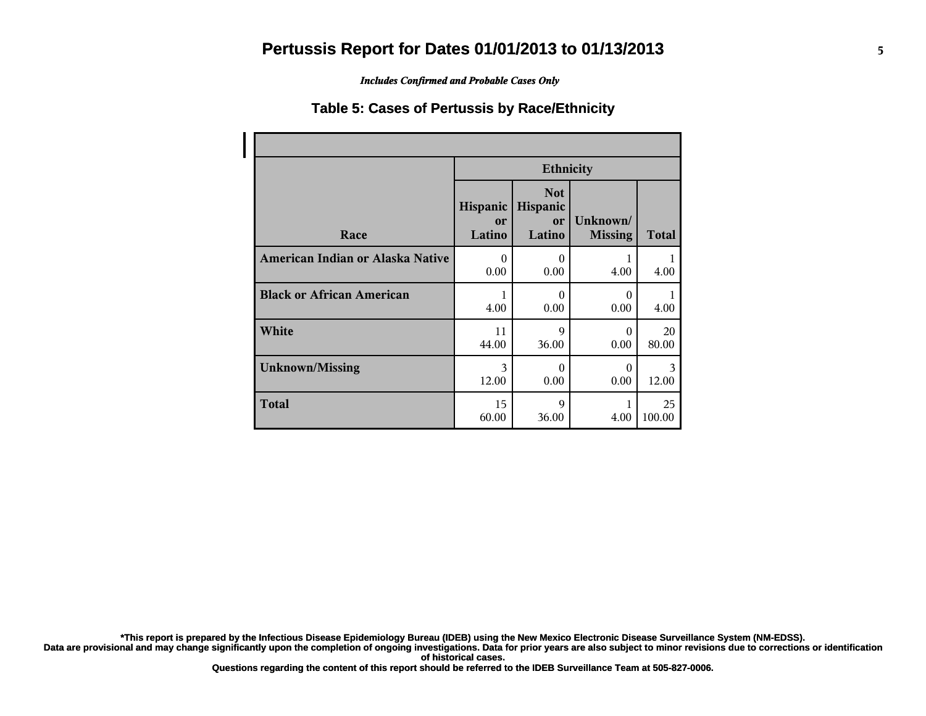*Includes Confirmed and Probable Cases Only*

#### **Table 5: Cases of Pertussis by Race/Ethnicity**

|                                  | <b>Ethnicity</b>         |                                        |                            |              |
|----------------------------------|--------------------------|----------------------------------------|----------------------------|--------------|
| Race                             | Hispanic<br>or<br>Latino | <b>Not</b><br>Hispanic<br>or<br>Latino | Unknown/<br><b>Missing</b> | <b>Total</b> |
| American Indian or Alaska Native | $\theta$                 | $\theta$                               | 1                          | 1            |
|                                  | 0.00                     | 0.00                                   | 4.00                       | 4.00         |
| <b>Black or African American</b> | 1                        | 0                                      | $\Omega$                   | 1            |
|                                  | 4.00                     | 0.00                                   | 0.00                       | 4.00         |
| White                            | 11                       | 9                                      | $\theta$                   | 20           |
|                                  | 44.00                    | 36.00                                  | 0.00                       | 80.00        |
| <b>Unknown/Missing</b>           | 3                        | $\theta$                               | $\theta$                   | 3            |
|                                  | 12.00                    | 0.00                                   | 0.00                       | 12.00        |
| <b>Total</b>                     | 15<br>60.00              | 9<br>36.00                             | 4.00                       | 25<br>100.00 |

**\*This report is prepared by the Infectious Disease Epidemiology Bureau (IDEB) using the New Mexico Electronic Disease Surveillance System (NM-EDSS).**

**Data are provisional and may change significantly upon the completion of ongoing investigations. Data for prior years are also subject to minor revisions due to corrections or identification of historical cases.**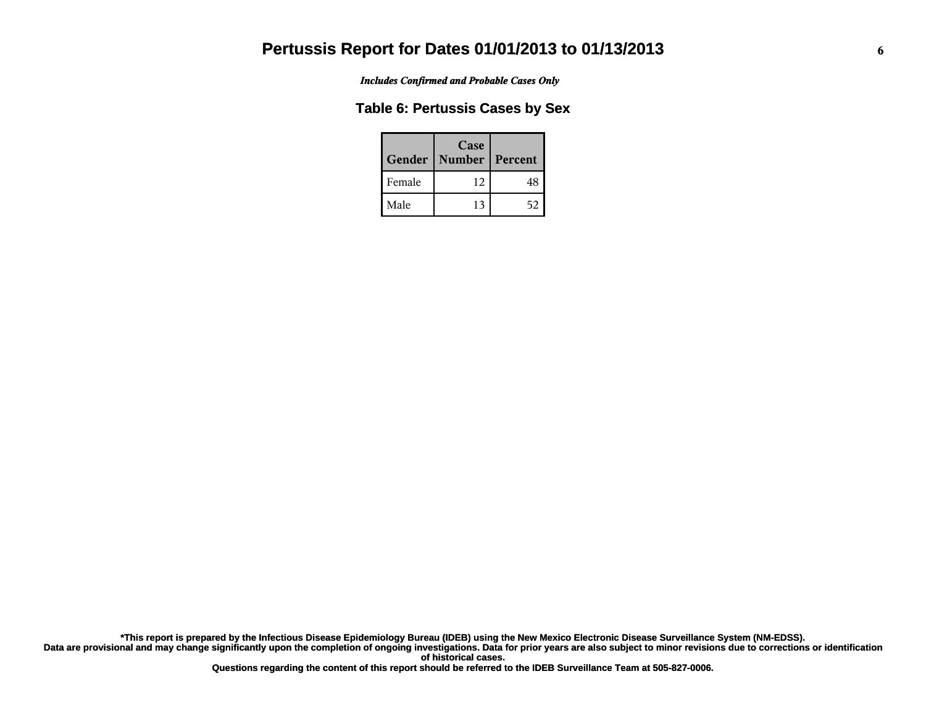*Includes Confirmed and Probable Cases Only*

#### **Table 6: Pertussis Cases by Sex**

|        | Case<br>Gender   Number | Percent |
|--------|-------------------------|---------|
| Female | 12                      |         |
| Male   | 13                      |         |

**Data are provisional and may change significantly upon the completion of ongoing investigations. Data for prior years are also subject to minor revisions due to corrections or identification of historical cases. \*This report is prepared by the Infectious Disease Epidemiology Bureau (IDEB) using the New Mexico Electronic Disease Surveillance System (NM-EDSS).**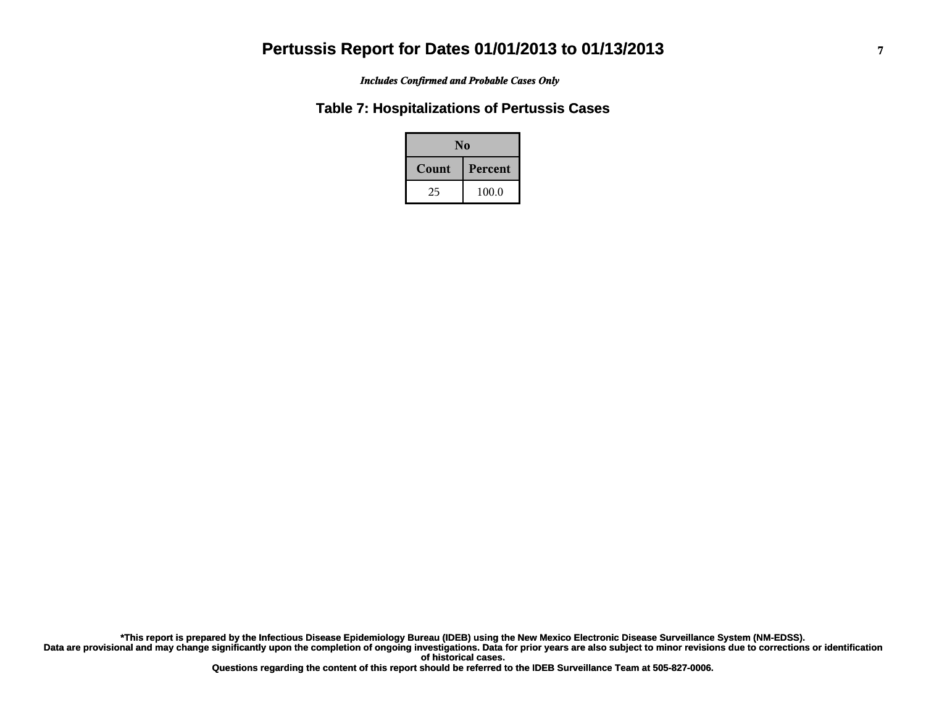*Includes Confirmed and Probable Cases Only*

#### **Table 7: Hospitalizations of Pertussis Cases**

| N <sub>0</sub> |         |  |
|----------------|---------|--|
| Count          | Percent |  |
| 25             | 100.0   |  |

**Data are provisional and may change significantly upon the completion of ongoing investigations. Data for prior years are also subject to minor revisions due to corrections or identification of historical cases. \*This report is prepared by the Infectious Disease Epidemiology Bureau (IDEB) using the New Mexico Electronic Disease Surveillance System (NM-EDSS).**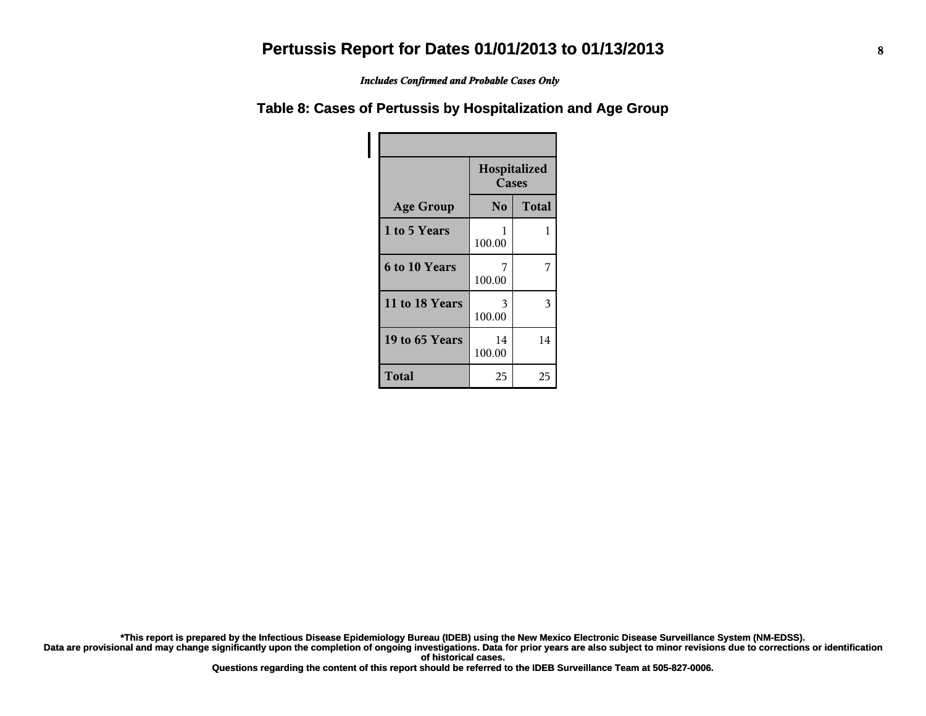*Includes Confirmed and Probable Cases Only*

#### **Table 8: Cases of Pertussis by Hospitalization and Age Group**

|                      | Hospitalized<br>Cases |              |
|----------------------|-----------------------|--------------|
| <b>Age Group</b>     | N <sub>0</sub>        | <b>Total</b> |
| 1 to 5 Years         | 1<br>100.00           | 1            |
| <b>6 to 10 Years</b> | 7<br>100.00           |              |
| 11 to 18 Years       | 3<br>100.00           | 3            |
| 19 to 65 Years       | 14<br>100.00          | 14           |
| <b>Total</b>         | 25                    | 25           |

**\*This report is prepared by the Infectious Disease Epidemiology Bureau (IDEB) using the New Mexico Electronic Disease Surveillance System (NM-EDSS).**

**Data are provisional and may change significantly upon the completion of ongoing investigations. Data for prior years are also subject to minor revisions due to corrections or identification of historical cases.**